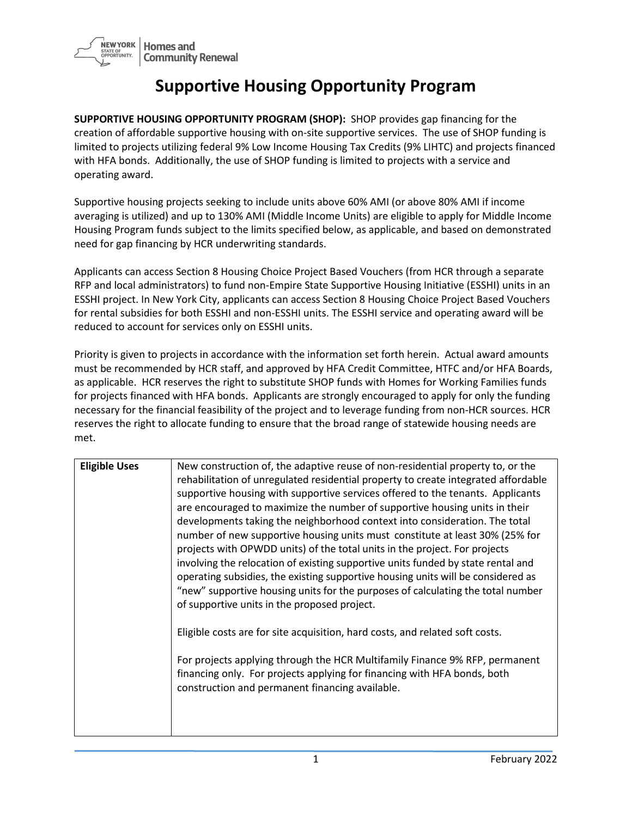

## **Supportive Housing Opportunity Program**

**SUPPORTIVE HOUSING OPPORTUNITY PROGRAM (SHOP):** SHOP provides gap financing for the creation of affordable supportive housing with on-site supportive services. The use of SHOP funding is limited to projects utilizing federal 9% Low Income Housing Tax Credits (9% LIHTC) and projects financed with HFA bonds. Additionally, the use of SHOP funding is limited to projects with a service and operating award.

Supportive housing projects seeking to include units above 60% AMI (or above 80% AMI if income averaging is utilized) and up to 130% AMI (Middle Income Units) are eligible to apply for Middle Income Housing Program funds subject to the limits specified below, as applicable, and based on demonstrated need for gap financing by HCR underwriting standards.

Applicants can access Section 8 Housing Choice Project Based Vouchers (from HCR through a separate RFP and local administrators) to fund non-Empire State Supportive Housing Initiative (ESSHI) units in an ESSHI project. In New York City, applicants can access Section 8 Housing Choice Project Based Vouchers for rental subsidies for both ESSHI and non-ESSHI units. The ESSHI service and operating award will be reduced to account for services only on ESSHI units.

Priority is given to projects in accordance with the information set forth herein. Actual award amounts must be recommended by HCR staff, and approved by HFA Credit Committee, HTFC and/or HFA Boards, as applicable. HCR reserves the right to substitute SHOP funds with Homes for Working Families funds for projects financed with HFA bonds. Applicants are strongly encouraged to apply for only the funding necessary for the financial feasibility of the project and to leverage funding from non-HCR sources. HCR reserves the right to allocate funding to ensure that the broad range of statewide housing needs are met.

| <b>Eligible Uses</b> | New construction of, the adaptive reuse of non-residential property to, or the<br>rehabilitation of unregulated residential property to create integrated affordable<br>supportive housing with supportive services offered to the tenants. Applicants<br>are encouraged to maximize the number of supportive housing units in their<br>developments taking the neighborhood context into consideration. The total<br>number of new supportive housing units must constitute at least 30% (25% for<br>projects with OPWDD units) of the total units in the project. For projects<br>involving the relocation of existing supportive units funded by state rental and<br>operating subsidies, the existing supportive housing units will be considered as<br>"new" supportive housing units for the purposes of calculating the total number<br>of supportive units in the proposed project. |
|----------------------|---------------------------------------------------------------------------------------------------------------------------------------------------------------------------------------------------------------------------------------------------------------------------------------------------------------------------------------------------------------------------------------------------------------------------------------------------------------------------------------------------------------------------------------------------------------------------------------------------------------------------------------------------------------------------------------------------------------------------------------------------------------------------------------------------------------------------------------------------------------------------------------------|
|                      | Eligible costs are for site acquisition, hard costs, and related soft costs.<br>For projects applying through the HCR Multifamily Finance 9% RFP, permanent<br>financing only. For projects applying for financing with HFA bonds, both                                                                                                                                                                                                                                                                                                                                                                                                                                                                                                                                                                                                                                                     |
|                      | construction and permanent financing available.                                                                                                                                                                                                                                                                                                                                                                                                                                                                                                                                                                                                                                                                                                                                                                                                                                             |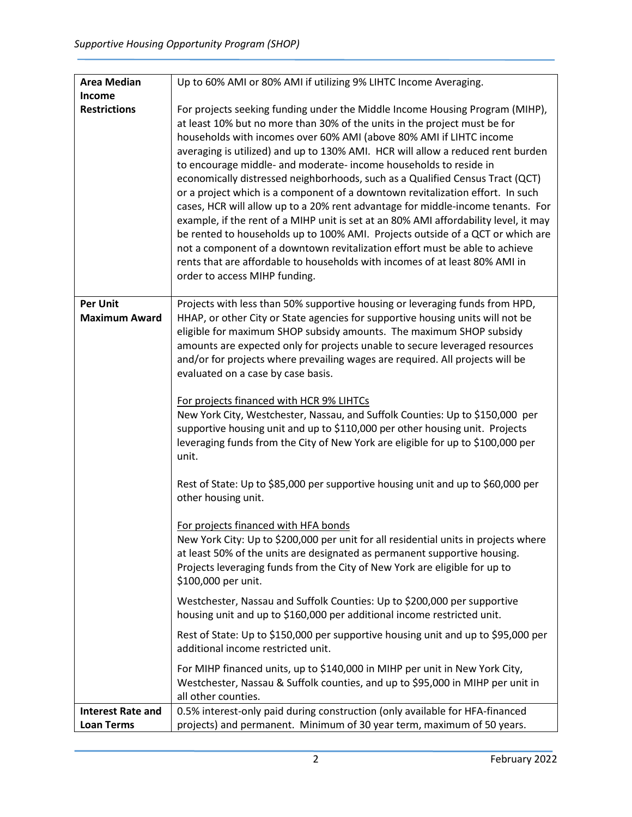| <b>Area Median</b>       | Up to 60% AMI or 80% AMI if utilizing 9% LIHTC Income Averaging.                     |
|--------------------------|--------------------------------------------------------------------------------------|
| <b>Income</b>            |                                                                                      |
| <b>Restrictions</b>      | For projects seeking funding under the Middle Income Housing Program (MIHP),         |
|                          | at least 10% but no more than 30% of the units in the project must be for            |
|                          | households with incomes over 60% AMI (above 80% AMI if LIHTC income                  |
|                          | averaging is utilized) and up to 130% AMI. HCR will allow a reduced rent burden      |
|                          | to encourage middle- and moderate- income households to reside in                    |
|                          | economically distressed neighborhoods, such as a Qualified Census Tract (QCT)        |
|                          | or a project which is a component of a downtown revitalization effort. In such       |
|                          | cases, HCR will allow up to a 20% rent advantage for middle-income tenants. For      |
|                          | example, if the rent of a MIHP unit is set at an 80% AMI affordability level, it may |
|                          | be rented to households up to 100% AMI. Projects outside of a QCT or which are       |
|                          | not a component of a downtown revitalization effort must be able to achieve          |
|                          | rents that are affordable to households with incomes of at least 80% AMI in          |
|                          | order to access MIHP funding.                                                        |
|                          |                                                                                      |
| <b>Per Unit</b>          | Projects with less than 50% supportive housing or leveraging funds from HPD,         |
| <b>Maximum Award</b>     | HHAP, or other City or State agencies for supportive housing units will not be       |
|                          | eligible for maximum SHOP subsidy amounts. The maximum SHOP subsidy                  |
|                          | amounts are expected only for projects unable to secure leveraged resources          |
|                          | and/or for projects where prevailing wages are required. All projects will be        |
|                          | evaluated on a case by case basis.                                                   |
|                          |                                                                                      |
|                          | For projects financed with HCR 9% LIHTCs                                             |
|                          | New York City, Westchester, Nassau, and Suffolk Counties: Up to \$150,000 per        |
|                          | supportive housing unit and up to \$110,000 per other housing unit. Projects         |
|                          | leveraging funds from the City of New York are eligible for up to \$100,000 per      |
|                          | unit.                                                                                |
|                          | Rest of State: Up to \$85,000 per supportive housing unit and up to \$60,000 per     |
|                          | other housing unit.                                                                  |
|                          |                                                                                      |
|                          | For projects financed with HFA bonds                                                 |
|                          | New York City: Up to \$200,000 per unit for all residential units in projects where  |
|                          | at least 50% of the units are designated as permanent supportive housing.            |
|                          | Projects leveraging funds from the City of New York are eligible for up to           |
|                          | \$100,000 per unit.                                                                  |
|                          | Westchester, Nassau and Suffolk Counties: Up to \$200,000 per supportive             |
|                          | housing unit and up to \$160,000 per additional income restricted unit.              |
|                          |                                                                                      |
|                          | Rest of State: Up to \$150,000 per supportive housing unit and up to \$95,000 per    |
|                          | additional income restricted unit.                                                   |
|                          | For MIHP financed units, up to \$140,000 in MIHP per unit in New York City,          |
|                          | Westchester, Nassau & Suffolk counties, and up to \$95,000 in MIHP per unit in       |
|                          | all other counties.                                                                  |
| <b>Interest Rate and</b> | 0.5% interest-only paid during construction (only available for HFA-financed         |
| <b>Loan Terms</b>        | projects) and permanent. Minimum of 30 year term, maximum of 50 years.               |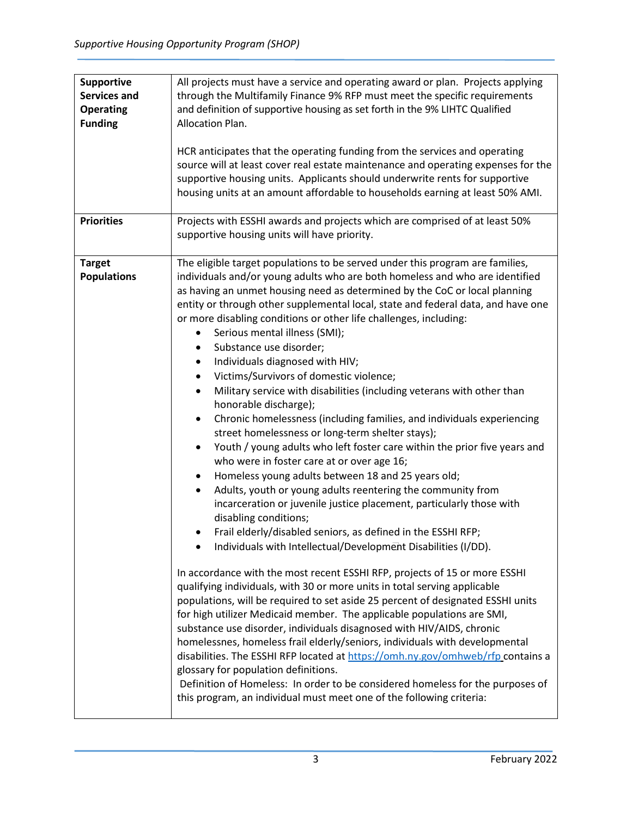| <b>Supportive</b><br><b>Services and</b><br><b>Operating</b><br><b>Funding</b><br><b>Priorities</b> | All projects must have a service and operating award or plan. Projects applying<br>through the Multifamily Finance 9% RFP must meet the specific requirements<br>and definition of supportive housing as set forth in the 9% LIHTC Qualified<br>Allocation Plan.<br>HCR anticipates that the operating funding from the services and operating<br>source will at least cover real estate maintenance and operating expenses for the<br>supportive housing units. Applicants should underwrite rents for supportive<br>housing units at an amount affordable to households earning at least 50% AMI.<br>Projects with ESSHI awards and projects which are comprised of at least 50%                                                                                                                                                                                                                                                                                                                                                                                                                                                                                                                                                                                                                                                                                                                                                                                                                                                                                                                                                                                                                                                                                                                                                                                                                                                                                                                                                                                                 |
|-----------------------------------------------------------------------------------------------------|------------------------------------------------------------------------------------------------------------------------------------------------------------------------------------------------------------------------------------------------------------------------------------------------------------------------------------------------------------------------------------------------------------------------------------------------------------------------------------------------------------------------------------------------------------------------------------------------------------------------------------------------------------------------------------------------------------------------------------------------------------------------------------------------------------------------------------------------------------------------------------------------------------------------------------------------------------------------------------------------------------------------------------------------------------------------------------------------------------------------------------------------------------------------------------------------------------------------------------------------------------------------------------------------------------------------------------------------------------------------------------------------------------------------------------------------------------------------------------------------------------------------------------------------------------------------------------------------------------------------------------------------------------------------------------------------------------------------------------------------------------------------------------------------------------------------------------------------------------------------------------------------------------------------------------------------------------------------------------------------------------------------------------------------------------------------------------|
|                                                                                                     | supportive housing units will have priority.                                                                                                                                                                                                                                                                                                                                                                                                                                                                                                                                                                                                                                                                                                                                                                                                                                                                                                                                                                                                                                                                                                                                                                                                                                                                                                                                                                                                                                                                                                                                                                                                                                                                                                                                                                                                                                                                                                                                                                                                                                       |
| <b>Target</b><br><b>Populations</b>                                                                 | The eligible target populations to be served under this program are families,<br>individuals and/or young adults who are both homeless and who are identified<br>as having an unmet housing need as determined by the CoC or local planning<br>entity or through other supplemental local, state and federal data, and have one<br>or more disabling conditions or other life challenges, including:<br>Serious mental illness (SMI);<br>Substance use disorder;<br>Individuals diagnosed with HIV;<br>٠<br>Victims/Survivors of domestic violence;<br>$\bullet$<br>Military service with disabilities (including veterans with other than<br>٠<br>honorable discharge);<br>Chronic homelessness (including families, and individuals experiencing<br>٠<br>street homelessness or long-term shelter stays);<br>Youth / young adults who left foster care within the prior five years and<br>٠<br>who were in foster care at or over age 16;<br>Homeless young adults between 18 and 25 years old;<br>٠<br>Adults, youth or young adults reentering the community from<br>٠<br>incarceration or juvenile justice placement, particularly those with<br>disabling conditions;<br>Frail elderly/disabled seniors, as defined in the ESSHI RFP;<br>Individuals with Intellectual/Development Disabilities (I/DD).<br>In accordance with the most recent ESSHI RFP, projects of 15 or more ESSHI<br>qualifying individuals, with 30 or more units in total serving applicable<br>populations, will be required to set aside 25 percent of designated ESSHI units<br>for high utilizer Medicaid member. The applicable populations are SMI,<br>substance use disorder, individuals disagnosed with HIV/AIDS, chronic<br>homelessnes, homeless frail elderly/seniors, individuals with developmental<br>disabilities. The ESSHI RFP located at https://omh.ny.gov/omhweb/rfp contains a<br>glossary for population definitions.<br>Definition of Homeless: In order to be considered homeless for the purposes of<br>this program, an individual must meet one of the following criteria: |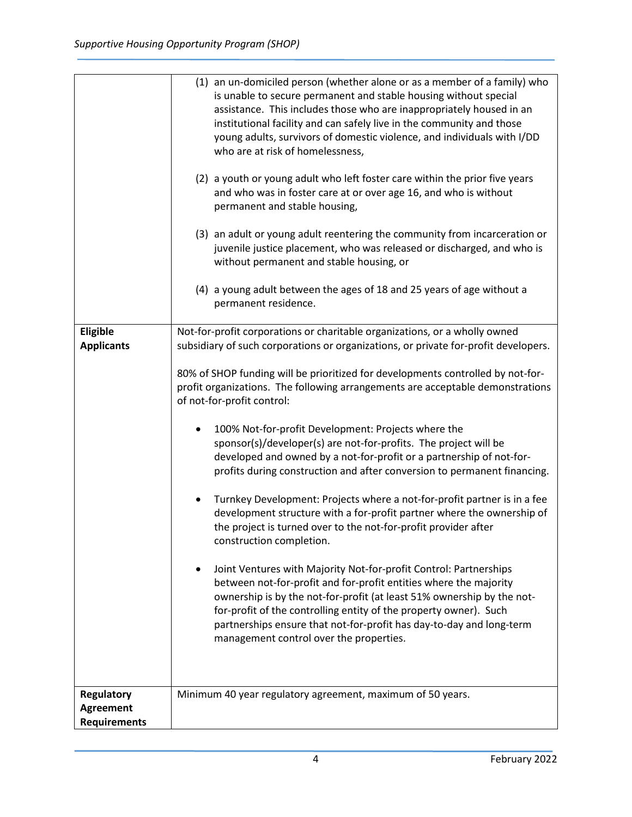|                                                              | (1) an un-domiciled person (whether alone or as a member of a family) who<br>is unable to secure permanent and stable housing without special<br>assistance. This includes those who are inappropriately housed in an<br>institutional facility and can safely live in the community and those<br>young adults, survivors of domestic violence, and individuals with I/DD<br>who are at risk of homelessness,<br>(2) a youth or young adult who left foster care within the prior five years<br>and who was in foster care at or over age 16, and who is without<br>permanent and stable housing,<br>(3) an adult or young adult reentering the community from incarceration or<br>juvenile justice placement, who was released or discharged, and who is<br>without permanent and stable housing, or<br>(4) a young adult between the ages of 18 and 25 years of age without a<br>permanent residence.                                                                                                                                                                                                                                                                                                                                                                                                              |
|--------------------------------------------------------------|----------------------------------------------------------------------------------------------------------------------------------------------------------------------------------------------------------------------------------------------------------------------------------------------------------------------------------------------------------------------------------------------------------------------------------------------------------------------------------------------------------------------------------------------------------------------------------------------------------------------------------------------------------------------------------------------------------------------------------------------------------------------------------------------------------------------------------------------------------------------------------------------------------------------------------------------------------------------------------------------------------------------------------------------------------------------------------------------------------------------------------------------------------------------------------------------------------------------------------------------------------------------------------------------------------------------|
| Eligible<br><b>Applicants</b>                                | Not-for-profit corporations or charitable organizations, or a wholly owned<br>subsidiary of such corporations or organizations, or private for-profit developers.<br>80% of SHOP funding will be prioritized for developments controlled by not-for-<br>profit organizations. The following arrangements are acceptable demonstrations<br>of not-for-profit control:<br>100% Not-for-profit Development: Projects where the<br>sponsor(s)/developer(s) are not-for-profits. The project will be<br>developed and owned by a not-for-profit or a partnership of not-for-<br>profits during construction and after conversion to permanent financing.<br>Turnkey Development: Projects where a not-for-profit partner is in a fee<br>development structure with a for-profit partner where the ownership of<br>the project is turned over to the not-for-profit provider after<br>construction completion.<br>Joint Ventures with Majority Not-for-profit Control: Partnerships<br>between not-for-profit and for-profit entities where the majority<br>ownership is by the not-for-profit (at least 51% ownership by the not-<br>for-profit of the controlling entity of the property owner). Such<br>partnerships ensure that not-for-profit has day-to-day and long-term<br>management control over the properties. |
| <b>Regulatory</b><br><b>Agreement</b><br><b>Requirements</b> | Minimum 40 year regulatory agreement, maximum of 50 years.                                                                                                                                                                                                                                                                                                                                                                                                                                                                                                                                                                                                                                                                                                                                                                                                                                                                                                                                                                                                                                                                                                                                                                                                                                                           |